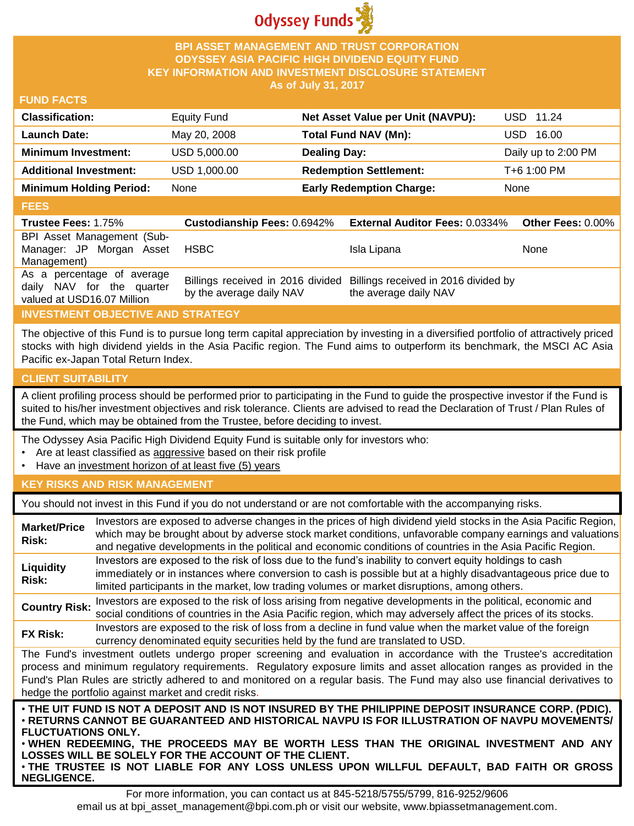

## **BPI ASSET MANAGEMENT AND TRUST CORPORATION ODYSSEY ASIA PACIFIC HIGH DIVIDEND EQUITY FUND KEY INFORMATION AND INVESTMENT DISCLOSURE STATEMENT As of July 31, 2017**

#### **FUND FACTS**

| <b>Classification:</b>         | <b>Equity Fund</b> | Net Asset Value per Unit (NAVPU): | USD 11.24           |
|--------------------------------|--------------------|-----------------------------------|---------------------|
| Launch Date:                   | May 20, 2008       | Total Fund NAV (Mn):              | JSD.<br>16.00       |
| <b>Minimum Investment:</b>     | USD 5,000.00       | <b>Dealing Day:</b>               | Daily up to 2:00 PM |
| <b>Additional Investment:</b>  | USD 1,000.00       | <b>Redemption Settlement:</b>     | T+6 1:00 PM         |
| <b>Minimum Holding Period:</b> | None               | <b>Early Redemption Charge:</b>   | <b>None</b>         |
|                                |                    |                                   |                     |

#### **FEES**

| ----                                                                                  |                                    |                                                                                                 |                   |
|---------------------------------------------------------------------------------------|------------------------------------|-------------------------------------------------------------------------------------------------|-------------------|
| <b>Trustee Fees: 1.75%</b>                                                            | <b>Custodianship Fees: 0.6942%</b> | <b>External Auditor Fees: 0.0334%</b>                                                           | Other Fees: 0.00% |
| BPI Asset Management (Sub-<br>Manager: JP Morgan Asset<br>Management)                 | HSBC                               | Isla Lipana                                                                                     | None              |
| As a percentage of average<br>daily NAV for the quarter<br>valued at USD16.07 Million | by the average daily NAV           | Billings received in 2016 divided Billings received in 2016 divided by<br>the average daily NAV |                   |

## **INVESTMENT OBJECTIVE AND STRATEGY**

The objective of this Fund is to pursue long term capital appreciation by investing in a diversified portfolio of attractively priced stocks with high dividend yields in the Asia Pacific region. The Fund aims to outperform its benchmark, the MSCI AC Asia Pacific ex-Japan Total Return Index.

## **CLIENT SUITABILITY**

**NEGLIGENCE.**

A client profiling process should be performed prior to participating in the Fund to guide the prospective investor if the Fund is suited to his/her investment objectives and risk tolerance. Clients are advised to read the Declaration of Trust / Plan Rules of the Fund, which may be obtained from the Trustee, before deciding to invest.

The Odyssey Asia Pacific High Dividend Equity Fund is suitable only for investors who:

- Are at least classified as aggressive based on their risk profile
- Have an investment horizon of at least five (5) years

#### **KEY RISKS AND RISK MANAGEMENT**

You should not invest in this Fund if you do not understand or are not comfortable with the accompanying risks.

| <b>Market/Price</b><br>Risk:                                                                                                                                                                                                                                                                                                                                                                                                                                                 | Investors are exposed to adverse changes in the prices of high dividend yield stocks in the Asia Pacific Region,<br>which may be brought about by adverse stock market conditions, unfavorable company earnings and valuations<br>and negative developments in the political and economic conditions of countries in the Asia Pacific Region. |  |
|------------------------------------------------------------------------------------------------------------------------------------------------------------------------------------------------------------------------------------------------------------------------------------------------------------------------------------------------------------------------------------------------------------------------------------------------------------------------------|-----------------------------------------------------------------------------------------------------------------------------------------------------------------------------------------------------------------------------------------------------------------------------------------------------------------------------------------------|--|
| Liquidity<br>Risk:                                                                                                                                                                                                                                                                                                                                                                                                                                                           | Investors are exposed to the risk of loss due to the fund's inability to convert equity holdings to cash<br>immediately or in instances where conversion to cash is possible but at a highly disadvantageous price due to<br>limited participants in the market, low trading volumes or market disruptions, among others.                     |  |
| <b>Country Risk:</b>                                                                                                                                                                                                                                                                                                                                                                                                                                                         | Investors are exposed to the risk of loss arising from negative developments in the political, economic and<br>social conditions of countries in the Asia Pacific region, which may adversely affect the prices of its stocks.                                                                                                                |  |
| <b>FX Risk:</b>                                                                                                                                                                                                                                                                                                                                                                                                                                                              | Investors are exposed to the risk of loss from a decline in fund value when the market value of the foreign<br>currency denominated equity securities held by the fund are translated to USD.                                                                                                                                                 |  |
| The Fund's investment outlets undergo proper screening and evaluation in accordance with the Trustee's accreditation<br>process and minimum regulatory requirements. Regulatory exposure limits and asset allocation ranges as provided in the<br>Fund's Plan Rules are strictly adhered to and monitored on a regular basis. The Fund may also use financial derivatives to<br>hedge the portfolio against market and credit risks.                                         |                                                                                                                                                                                                                                                                                                                                               |  |
| . THE UIT FUND IS NOT A DEPOSIT AND IS NOT INSURED BY THE PHILIPPINE DEPOSIT INSURANCE CORP. (PDIC).<br>⋅RETURNS CANNOT BE GUARANTEED AND HISTORICAL NAVPU IS FOR ILLUSTRATION OF NAVPU MOVEMENTS/<br><b>FLUCTUATIONS ONLY.</b><br>. WHEN REDEEMING, THE PROCEEDS MAY BE WORTH LESS THAN THE ORIGINAL INVESTMENT AND ANY<br>LOSSES WILL BE SOLELY FOR THE ACCOUNT OF THE CLIENT.<br>. THE TRUSTEE IS NOT LIABLE FOR ANY LOSS UNLESS UPON WILLFUL DEFAULT, BAD FAITH OR GROSS |                                                                                                                                                                                                                                                                                                                                               |  |

For more information, you can contact us at 845-5218/5755/5799, 816-9252/9606 email us at bpi\_asset\_management@bpi.com.ph or visit our website, www.bpiassetmanagement.com.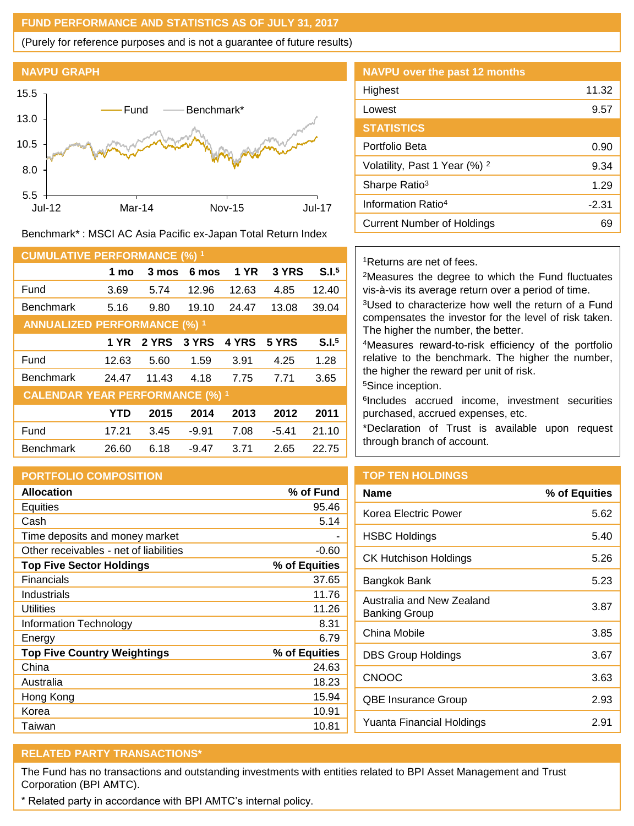## **FUND PERFORMANCE AND STATISTICS AS OF JULY 31, 2017**

(Purely for reference purposes and is not a guarantee of future results)



Benchmark\* : MSCI AC Asia Pacific ex-Japan Total Return Index

| <b>CUMULATIVE PERFORMANCE (%) 1</b>    |            |       |         |             |         |                   |
|----------------------------------------|------------|-------|---------|-------------|---------|-------------------|
|                                        | 1 mo       | 3 mos | 6 mos   | <b>1 YR</b> | 3 YRS   | S.I. <sup>5</sup> |
| Fund                                   | 3.69       | 5.74  | 12.96   | 12.63       | 4.85    | 12.40             |
| <b>Benchmark</b>                       | 5.16       | 9.80  | 19.10   | 24.47       | 13.08   | 39.04             |
| <b>ANNUALIZED PERFORMANCE (%) 1</b>    |            |       |         |             |         |                   |
|                                        | 1 YR       | 2 YRS | 3 YRS   | 4 YRS       | 5 YRS   | S.I. <sup>5</sup> |
| Fund                                   | 12.63      | 5.60  | 1.59    | 3.91        | 4.25    | 1.28              |
| <b>Benchmark</b>                       | 24.47      | 11.43 | 4.18    | 7.75        | 7.71    | 3.65              |
| <b>CALENDAR YEAR PERFORMANCE (%) 1</b> |            |       |         |             |         |                   |
|                                        | <b>YTD</b> | 2015  | 2014    | 2013        | 2012    | 2011              |
| Fund                                   | 17.21      | 3.45  | $-9.91$ | 7.08        | $-5.41$ | 21.10             |
| <b>Benchmark</b>                       | 26.60      | 6.18  | $-9.47$ | 3.71        | 2.65    | 22.75             |

#### **PORTFOLIO COMPOSITION**

| <b>Allocation</b>                      | % of Fund     |
|----------------------------------------|---------------|
| Equities                               | 95.46         |
| Cash                                   | 5.14          |
| Time deposits and money market         |               |
| Other receivables - net of liabilities | $-0.60$       |
| <b>Top Five Sector Holdings</b>        | % of Equities |
| Financials                             | 37.65         |
| Industrials                            | 11.76         |
| Utilities                              | 11.26         |
| Information Technology                 | 8.31          |
| Energy                                 | 6.79          |
| <b>Top Five Country Weightings</b>     | % of Equities |
| China                                  | 24.63         |
| Australia                              | 18.23         |
| Hong Kong                              | 15.94         |
| Korea                                  | 10.91         |
| Taiwan                                 | 10.81         |

| <b>NAVPU over the past 12 months</b>     |         |
|------------------------------------------|---------|
| Highest                                  | 11.32   |
| Lowest                                   | 9.57    |
| <b>STATISTICS</b>                        |         |
| Portfolio Beta                           | 0.90    |
| Volatility, Past 1 Year (%) <sup>2</sup> | 9.34    |
| Sharpe Ratio <sup>3</sup>                | 1.29    |
| Information Ratio <sup>4</sup>           | $-2.31$ |
| Current Number of Holdings               | 69      |

## <sup>1</sup>Returns are net of fees.

<sup>2</sup>Measures the degree to which the Fund fluctuates vis-à-vis its average return over a period of time.

<sup>3</sup>Used to characterize how well the return of a Fund compensates the investor for the level of risk taken. The higher the number, the better.

<sup>4</sup>Measures reward-to-risk efficiency of the portfolio relative to the benchmark. The higher the number, the higher the reward per unit of risk.

<sup>5</sup>Since inception.

6 Includes accrued income, investment securities purchased, accrued expenses, etc.

\*Declaration of Trust is available upon request through branch of account.

## **TOP TEN HOLDINGS**

| % of Equities |
|---------------|
| 5.62          |
| 5.40          |
| 5.26          |
| 5.23          |
| 3.87          |
| 3.85          |
| 3.67          |
| 3.63          |
| 2.93          |
| 2.91          |
|               |

# **RELATED PARTY TRANSACTIONS\***

The Fund has no transactions and outstanding investments with entities related to BPI Asset Management and Trust Corporation (BPI AMTC).

\* Related party in accordance with BPI AMTC's internal policy.